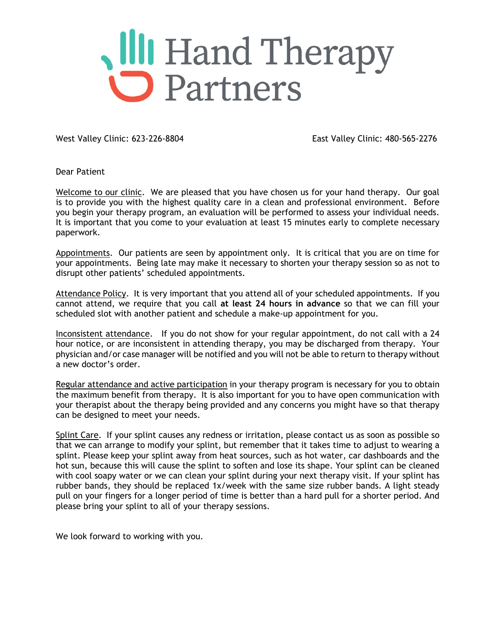## **III** Hand Therapy O Partners

West Valley Clinic: 623-226-8804 East Valley Clinic: 480-565-2276

Dear Patient

Welcome to our clinic. We are pleased that you have chosen us for your hand therapy. Our goal is to provide you with the highest quality care in a clean and professional environment. Before you begin your therapy program, an evaluation will be performed to assess your individual needs. It is important that you come to your evaluation at least 15 minutes early to complete necessary paperwork.

Appointments. Our patients are seen by appointment only. It is critical that you are on time for your appointments. Being late may make it necessary to shorten your therapy session so as not to disrupt other patients' scheduled appointments.

Attendance Policy. It is very important that you attend all of your scheduled appointments. If you cannot attend, we require that you call **at least 24 hours in advance** so that we can fill your scheduled slot with another patient and schedule a make-up appointment for you.

Inconsistent attendance. If you do not show for your regular appointment, do not call with a 24 hour notice, or are inconsistent in attending therapy, you may be discharged from therapy. Your physician and/or case manager will be notified and you will not be able to return to therapy without a new doctor's order.

Regular attendance and active participation in your therapy program is necessary for you to obtain the maximum benefit from therapy. It is also important for you to have open communication with your therapist about the therapy being provided and any concerns you might have so that therapy can be designed to meet your needs.

Splint Care. If your splint causes any redness or irritation, please contact us as soon as possible so that we can arrange to modify your splint, but remember that it takes time to adjust to wearing a splint. Please keep your splint away from heat sources, such as hot water, car dashboards and the hot sun, because this will cause the splint to soften and lose its shape. Your splint can be cleaned with cool soapy water or we can clean your splint during your next therapy visit. If your splint has rubber bands, they should be replaced 1x/week with the same size rubber bands. A light steady pull on your fingers for a longer period of time is better than a hard pull for a shorter period. And please bring your splint to all of your therapy sessions.

We look forward to working with you.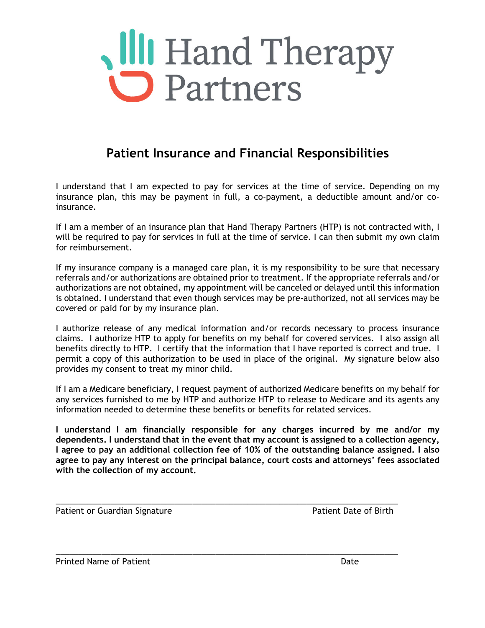## **Ill** Hand Therapy **O** Partners

### **Patient Insurance and Financial Responsibilities**

I understand that I am expected to pay for services at the time of service. Depending on my insurance plan, this may be payment in full, a co-payment, a deductible amount and/or coinsurance.

If I am a member of an insurance plan that Hand Therapy Partners (HTP) is not contracted with, I will be required to pay for services in full at the time of service. I can then submit my own claim for reimbursement.

If my insurance company is a managed care plan, it is my responsibility to be sure that necessary referrals and/or authorizations are obtained prior to treatment. If the appropriate referrals and/or authorizations are not obtained, my appointment will be canceled or delayed until this information is obtained. I understand that even though services may be pre-authorized, not all services may be covered or paid for by my insurance plan.

I authorize release of any medical information and/or records necessary to process insurance claims. I authorize HTP to apply for benefits on my behalf for covered services. I also assign all benefits directly to HTP. I certify that the information that I have reported is correct and true. I permit a copy of this authorization to be used in place of the original. My signature below also provides my consent to treat my minor child.

If I am a Medicare beneficiary, I request payment of authorized Medicare benefits on my behalf for any services furnished to me by HTP and authorize HTP to release to Medicare and its agents any information needed to determine these benefits or benefits for related services.

**I understand I am financially responsible for any charges incurred by me and/or my dependents. I understand that in the event that my account is assigned to a collection agency, I agree to pay an additional collection fee of 10% of the outstanding balance assigned. I also agree to pay any interest on the principal balance, court costs and attorneys' fees associated with the collection of my account.** 

\_\_\_\_\_\_\_\_\_\_\_\_\_\_\_\_\_\_\_\_\_\_\_\_\_\_\_\_\_\_\_\_\_\_\_\_\_\_\_\_\_\_\_\_\_\_\_\_\_\_\_\_\_\_\_\_\_\_\_\_\_\_\_\_\_\_\_\_\_\_\_\_\_\_\_

\_\_\_\_\_\_\_\_\_\_\_\_\_\_\_\_\_\_\_\_\_\_\_\_\_\_\_\_\_\_\_\_\_\_\_\_\_\_\_\_\_\_\_\_\_\_\_\_\_\_\_\_\_\_\_\_\_\_\_\_\_\_\_\_\_\_\_\_\_\_\_\_\_\_\_

Patient or Guardian Signature **Patient Date of Birth** 

Printed Name of Patient **Date Communist Printed Name of Patient**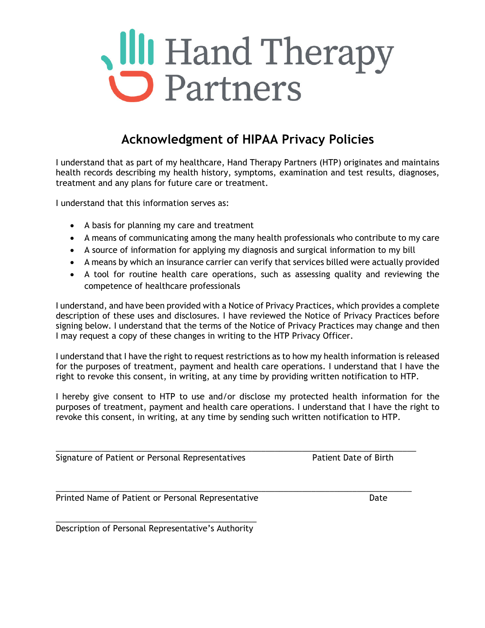## **Ill** Hand Therapy **D** Partners

### **Acknowledgment of HIPAA Privacy Policies**

I understand that as part of my healthcare, Hand Therapy Partners (HTP) originates and maintains health records describing my health history, symptoms, examination and test results, diagnoses, treatment and any plans for future care or treatment.

I understand that this information serves as:

- A basis for planning my care and treatment
- A means of communicating among the many health professionals who contribute to my care
- A source of information for applying my diagnosis and surgical information to my bill
- A means by which an insurance carrier can verify that services billed were actually provided
- A tool for routine health care operations, such as assessing quality and reviewing the competence of healthcare professionals

I understand, and have been provided with a Notice of Privacy Practices, which provides a complete description of these uses and disclosures. I have reviewed the Notice of Privacy Practices before signing below. I understand that the terms of the Notice of Privacy Practices may change and then I may request a copy of these changes in writing to the HTP Privacy Officer.

I understand that I have the right to request restrictions as to how my health information is released for the purposes of treatment, payment and health care operations. I understand that I have the right to revoke this consent, in writing, at any time by providing written notification to HTP.

I hereby give consent to HTP to use and/or disclose my protected health information for the purposes of treatment, payment and health care operations. I understand that I have the right to revoke this consent, in writing, at any time by sending such written notification to HTP.

\_\_\_\_\_\_\_\_\_\_\_\_\_\_\_\_\_\_\_\_\_\_\_\_\_\_\_\_\_\_\_\_\_\_\_\_\_\_\_\_\_\_\_\_\_\_\_\_\_\_\_\_\_\_\_\_\_\_\_\_\_\_\_\_\_\_\_\_\_\_\_\_\_\_\_\_\_\_\_

\_\_\_\_\_\_\_\_\_\_\_\_\_\_\_\_\_\_\_\_\_\_\_\_\_\_\_\_\_\_\_\_\_\_\_\_\_\_\_\_\_\_\_\_\_\_\_\_\_\_\_\_\_\_\_\_\_\_\_\_\_\_\_\_\_\_\_\_\_\_\_\_\_\_\_\_\_\_

Signature of Patient or Personal Representatives **Patient Date of Birth** 

Printed Name of Patient or Personal Representative **Example 2018** Date

\_\_\_\_\_\_\_\_\_\_\_\_\_\_\_\_\_\_\_\_\_\_\_\_\_\_\_\_\_\_\_\_\_\_\_\_\_\_\_\_\_\_\_\_ Description of Personal Representative's Authority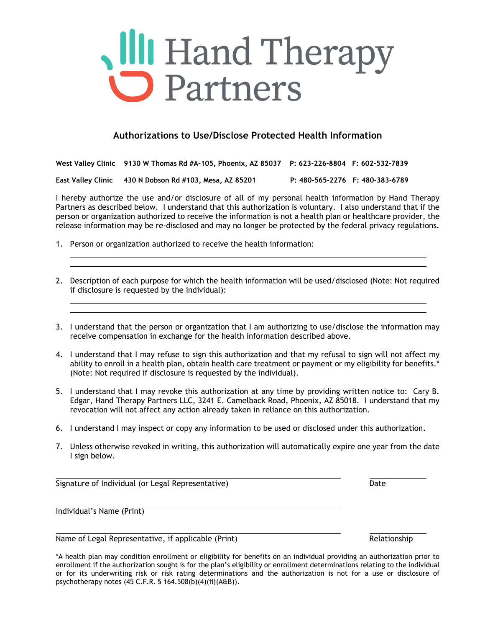#### **Authorizations to Use/Disclose Protected Health Information**

**West Valley Clinic 9130 W Thomas Rd #A-105, Phoenix, AZ 85037 P: 623-226-8804 F: 602-532-7839** 

**East Valley Clinic 430 N Dobson Rd #103, Mesa, AZ 85201 P: 480-565-2276 F: 480-383-6789** 

I hereby authorize the use and/or disclosure of all of my personal health information by Hand Therapy Partners as described below. I understand that this authorization is voluntary. I also understand that if the person or organization authorized to receive the information is not a health plan or healthcare provider, the release information may be re-disclosed and may no longer be protected by the federal privacy regulations.

- 1. Person or organization authorized to receive the health information:
- 2. Description of each purpose for which the health information will be used/disclosed (Note: Not required if disclosure is requested by the individual):
- 3. I understand that the person or organization that I am authorizing to use/disclose the information may receive compensation in exchange for the health information described above.
- 4. I understand that I may refuse to sign this authorization and that my refusal to sign will not affect my ability to enroll in a health plan, obtain health care treatment or payment or my eligibility for benefits.\* (Note: Not required if disclosure is requested by the individual).
- 5. I understand that I may revoke this authorization at any time by providing written notice to: Cary B. Edgar, Hand Therapy Partners LLC, 3241 E. Camelback Road, Phoenix, AZ 85018. I understand that my revocation will not affect any action already taken in reliance on this authorization.
- 6. I understand I may inspect or copy any information to be used or disclosed under this authorization.
- 7. Unless otherwise revoked in writing, this authorization will automatically expire one year from the date I sign below.

Signature of Individual (or Legal Representative) and the control of the Date of Date

Individual's Name (Print)

 

 

Name of Legal Representative, if applicable (Print) Name and Relationship

\*A health plan may condition enrollment or eligibility for benefits on an individual providing an authorization prior to enrollment if the authorization sought is for the plan's eligibility or enrollment determinations relating to the individual or for its underwriting risk or risk rating determinations and the authorization is not for a use or disclosure of psychotherapy notes (45 C.F.R. § 164.508(b)(4)(ii)(A&B)).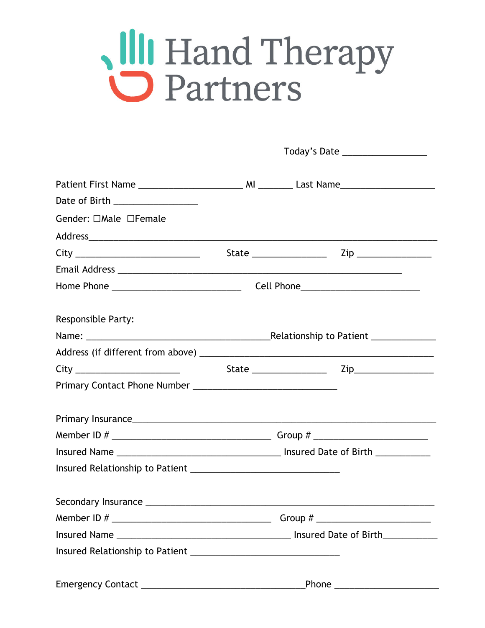|                                                        | Today's Date ___________________ |  |  |  |  |  |
|--------------------------------------------------------|----------------------------------|--|--|--|--|--|
|                                                        |                                  |  |  |  |  |  |
| Date of Birth ____________________                     |                                  |  |  |  |  |  |
| Gender: □Male □Female                                  |                                  |  |  |  |  |  |
|                                                        |                                  |  |  |  |  |  |
|                                                        |                                  |  |  |  |  |  |
|                                                        |                                  |  |  |  |  |  |
|                                                        |                                  |  |  |  |  |  |
| Responsible Party:                                     |                                  |  |  |  |  |  |
|                                                        |                                  |  |  |  |  |  |
|                                                        |                                  |  |  |  |  |  |
|                                                        |                                  |  |  |  |  |  |
|                                                        |                                  |  |  |  |  |  |
|                                                        |                                  |  |  |  |  |  |
|                                                        |                                  |  |  |  |  |  |
|                                                        |                                  |  |  |  |  |  |
|                                                        |                                  |  |  |  |  |  |
| Secondary Insurance <b>Product Secondary Insurance</b> |                                  |  |  |  |  |  |
|                                                        |                                  |  |  |  |  |  |
|                                                        |                                  |  |  |  |  |  |
|                                                        |                                  |  |  |  |  |  |
|                                                        |                                  |  |  |  |  |  |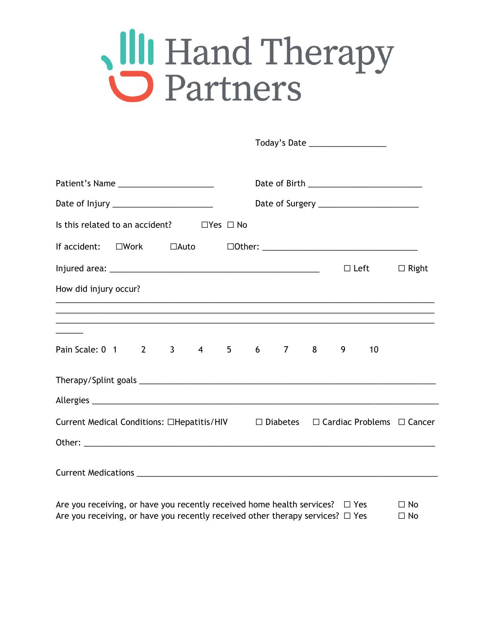Today's Date \_\_\_\_\_\_\_\_\_\_\_\_\_\_\_\_\_

|                                                                                                                    |  | $000 \text{ y }$ $0000 \text{ y }$ |  |  |   |    |                          |  |
|--------------------------------------------------------------------------------------------------------------------|--|------------------------------------|--|--|---|----|--------------------------|--|
| Patient's Name ________________________                                                                            |  |                                    |  |  |   |    |                          |  |
|                                                                                                                    |  |                                    |  |  |   |    |                          |  |
| Is this related to an accident? $\Box$ Yes $\Box$ No                                                               |  |                                    |  |  |   |    |                          |  |
|                                                                                                                    |  |                                    |  |  |   |    |                          |  |
|                                                                                                                    |  |                                    |  |  |   |    | $\Box$ Left $\Box$ Right |  |
| How did injury occur?                                                                                              |  |                                    |  |  |   |    |                          |  |
| ,我们也不能在这里的人,我们也不能在这里的人,我们也不能在这里的人,我们也不能在这里的人,我们也不能在这里的人,我们也不能在这里的人,我们也不能在这里的人,我们也<br>Pain Scale: 0 1 2 3 4 5 6 7 8 |  |                                    |  |  | 9 | 10 |                          |  |
|                                                                                                                    |  |                                    |  |  |   |    |                          |  |
|                                                                                                                    |  |                                    |  |  |   |    |                          |  |
|                                                                                                                    |  |                                    |  |  |   |    |                          |  |
|                                                                                                                    |  |                                    |  |  |   |    |                          |  |
|                                                                                                                    |  |                                    |  |  |   |    |                          |  |
| Are you receiving, or have you recently received home health services? $\Box$ Yes                                  |  |                                    |  |  |   |    | $\Box$ No                |  |

Are you receiving, or have you recently received other therapy services?  $□$  Yes  $□$  No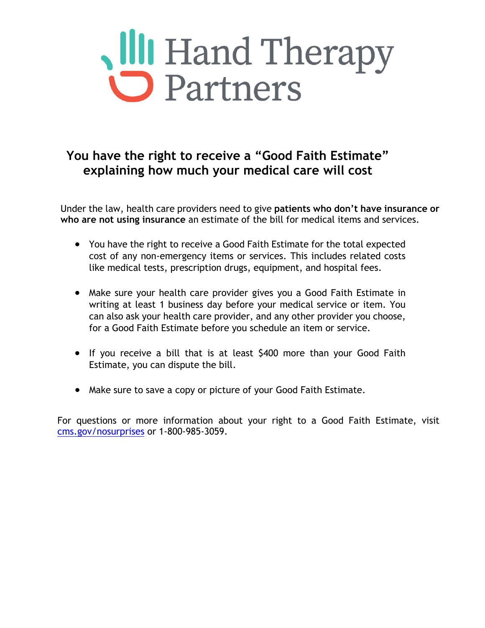### **You have the right to receive a "Good Faith Estimate" explaining how much your medical care will cost**

Under the law, health care providers need to give **patients who don't have insurance or who are not using insurance** an estimate of the bill for medical items and services.

- You have the right to receive a Good Faith Estimate for the total expected cost of any non-emergency items or services. This includes related costs like medical tests, prescription drugs, equipment, and hospital fees.
- Make sure your health care provider gives you a Good Faith Estimate in writing at least 1 business day before your medical service or item. You can also ask your health care provider, and any other provider you choose, for a Good Faith Estimate before you schedule an item or service.
- If you receive a bill that is at least \$400 more than your Good Faith Estimate, you can dispute the bill.
- Make sure to save a copy or picture of your Good Faith Estimate.

For questions or more information about your right to a Good Faith Estimate, visit cms.gov/nosurprises or 1-800-985-3059.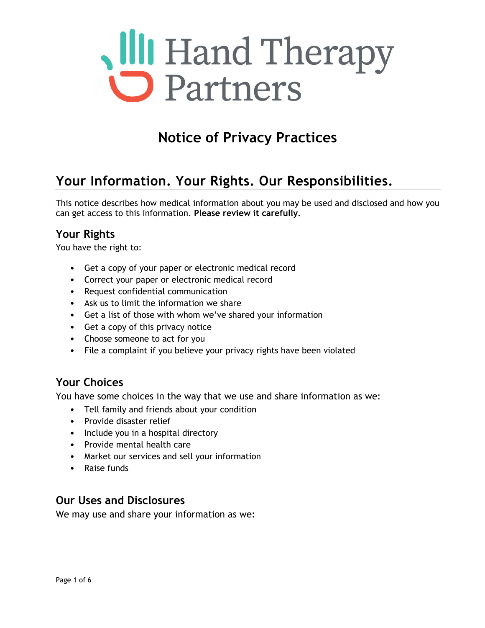# **Ill** Hand Therapy **O** Partners

## **Notice of Privacy Practices**

### **Your Information. Your Rights. Our Responsibilities.**

This notice describes how medical information about you may be used and disclosed and how you can get access to this information. **Please review it carefully.** 

#### **Your Rights**

You have the right to:

- Get a copy of your paper or electronic medical record
- Correct your paper or electronic medical record
- Request confidential communication
- Ask us to limit the information we share
- Get a list of those with whom we've shared your information
- Get a copy of this privacy notice
- Choose someone to act for you
- File a complaint if you believe your privacy rights have been violated

#### **Your Choices**

You have some choices in the way that we use and share information as we:

- Tell family and friends about your condition
- Provide disaster relief
- Include you in a hospital directory
- Provide mental health care
- Market our services and sell your information
- Raise funds

#### **Our Uses and Disclosures**

We may use and share your information as we: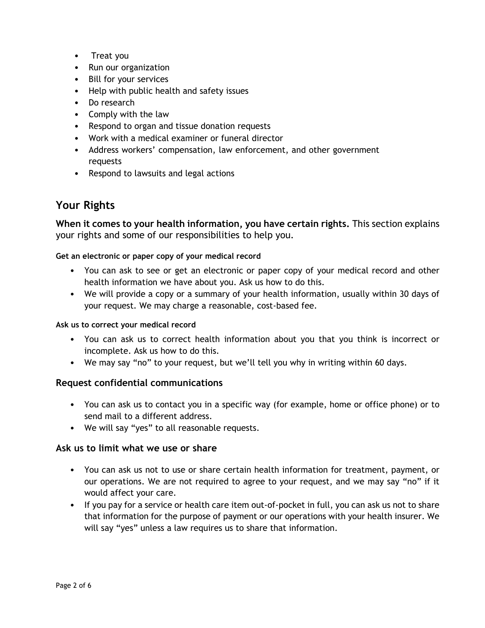- Treat you
- Run our organization
- Bill for your services
- Help with public health and safety issues
- Do research
- Comply with the law
- Respond to organ and tissue donation requests
- Work with a medical examiner or funeral director
- Address workers' compensation, law enforcement, and other government requests
- Respond to lawsuits and legal actions

#### **Your Rights**

**When it comes to your health information, you have certain rights.** This section explains your rights and some of our responsibilities to help you.

#### **Get an electronic or paper copy of your medical record**

- You can ask to see or get an electronic or paper copy of your medical record and other health information we have about you. Ask us how to do this.
- We will provide a copy or a summary of your health information, usually within 30 days of your request. We may charge a reasonable, cost-based fee.

#### **Ask us to correct your medical record**

- You can ask us to correct health information about you that you think is incorrect or incomplete. Ask us how to do this.
- We may say "no" to your request, but we'll tell you why in writing within 60 days.

#### **Request confidential communications**

- You can ask us to contact you in a specific way (for example, home or office phone) or to send mail to a different address.
- We will say "yes" to all reasonable requests.

#### **Ask us to limit what we use or share**

- You can ask us not to use or share certain health information for treatment, payment, or our operations. We are not required to agree to your request, and we may say "no" if it would affect your care.
- If you pay for a service or health care item out-of-pocket in full, you can ask us not to share that information for the purpose of payment or our operations with your health insurer. We will say "yes" unless a law requires us to share that information.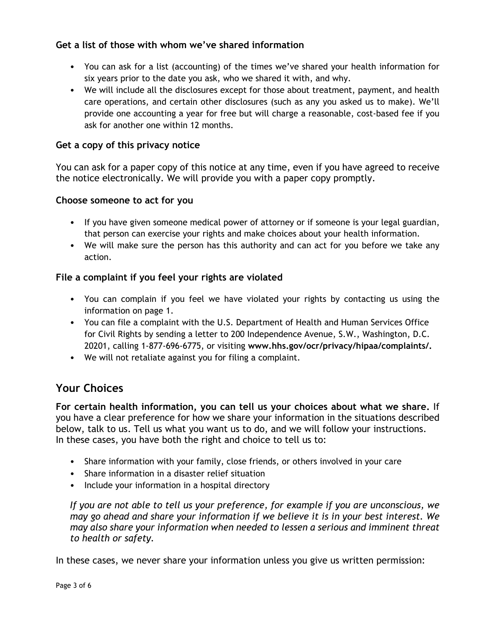#### **Get a list of those with whom we've shared information**

- You can ask for a list (accounting) of the times we've shared your health information for six years prior to the date you ask, who we shared it with, and why.
- We will include all the disclosures except for those about treatment, payment, and health care operations, and certain other disclosures (such as any you asked us to make). We'll provide one accounting a year for free but will charge a reasonable, cost-based fee if you ask for another one within 12 months.

#### **Get a copy of this privacy notice**

You can ask for a paper copy of this notice at any time, even if you have agreed to receive the notice electronically. We will provide you with a paper copy promptly.

#### **Choose someone to act for you**

- If you have given someone medical power of attorney or if someone is your legal guardian, that person can exercise your rights and make choices about your health information.
- We will make sure the person has this authority and can act for you before we take any action.

#### **File a complaint if you feel your rights are violated**

- You can complain if you feel we have violated your rights by contacting us using the information on page 1.
- You can file a complaint with the U.S. Department of Health and Human Services Office for Civil Rights by sending a letter to 200 Independence Avenue, S.W., Washington, D.C. 20201, calling 1-877-696-6775, or visiting **www.hhs.gov/ocr/privacy/hipaa/complaints/.**
- We will not retaliate against you for filing a complaint.

#### **Your Choices**

**For certain health information, you can tell us your choices about what we share.** If you have a clear preference for how we share your information in the situations described below, talk to us. Tell us what you want us to do, and we will follow your instructions. In these cases, you have both the right and choice to tell us to:

- Share information with your family, close friends, or others involved in your care
- Share information in a disaster relief situation
- Include your information in a hospital directory

*If you are not able to tell us your preference, for example if you are unconscious, we may go ahead and share your information if we believe it is in your best interest. We may also share your information when needed to lessen a serious and imminent threat to health or safety.* 

In these cases, we never share your information unless you give us written permission: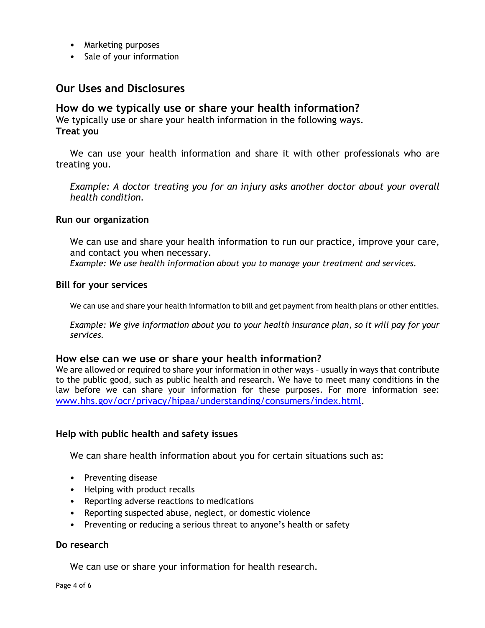- Marketing purposes
- Sale of your information

#### **Our Uses and Disclosures**

#### **How do we typically use or share your health information?**

We typically use or share your health information in the following ways. **Treat you** 

We can use your health information and share it with other professionals who are treating you.

*Example: A doctor treating you for an injury asks another doctor about your overall health condition.*

#### **Run our organization**

We can use and share your health information to run our practice, improve your care, and contact you when necessary. *Example: We use health information about you to manage your treatment and services.* 

#### **Bill for your services**

We can use and share your health information to bill and get payment from health plans or other entities.

*Example: We give information about you to your health insurance plan, so it will pay for your services.* 

#### **How else can we use or share your health information?**

We are allowed or required to share your information in other ways - usually in ways that contribute to the public good, such as public health and research. We have to meet many conditions in the law before we can share your information for these purposes. For more information see: www.hhs.gov/ocr/privacy/hipaa/understanding/consumers/index.html**.** 

#### **Help with public health and safety issues**

We can share health information about you for certain situations such as:

- Preventing disease
- Helping with product recalls
- Reporting adverse reactions to medications
- Reporting suspected abuse, neglect, or domestic violence
- Preventing or reducing a serious threat to anyone's health or safety

#### **Do research**

We can use or share your information for health research.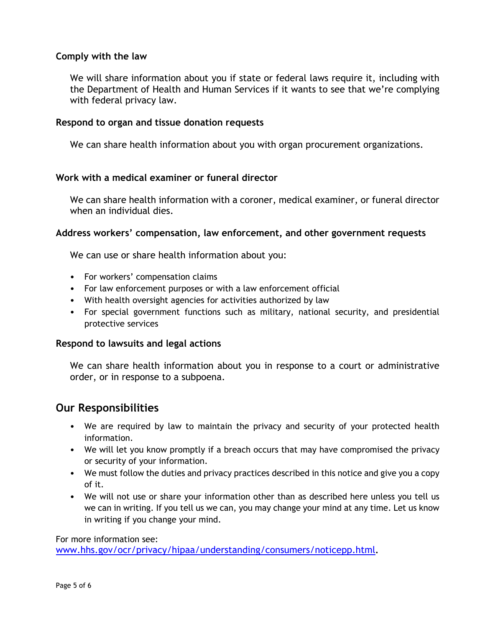#### **Comply with the law**

We will share information about you if state or federal laws require it, including with the Department of Health and Human Services if it wants to see that we're complying with federal privacy law.

#### **Respond to organ and tissue donation requests**

We can share health information about you with organ procurement organizations.

#### **Work with a medical examiner or funeral director**

We can share health information with a coroner, medical examiner, or funeral director when an individual dies.

#### **Address workers' compensation, law enforcement, and other government requests**

We can use or share health information about you:

- For workers' compensation claims
- For law enforcement purposes or with a law enforcement official
- With health oversight agencies for activities authorized by law
- For special government functions such as military, national security, and presidential protective services

#### **Respond to lawsuits and legal actions**

We can share health information about you in response to a court or administrative order, or in response to a subpoena.

#### **Our Responsibilities**

- We are required by law to maintain the privacy and security of your protected health information.
- We will let you know promptly if a breach occurs that may have compromised the privacy or security of your information.
- We must follow the duties and privacy practices described in this notice and give you a copy of it.
- We will not use or share your information other than as described here unless you tell us we can in writing. If you tell us we can, you may change your mind at any time. Let us know in writing if you change your mind.

For more information see:

www.hhs.gov/ocr/privacy/hipaa/understanding/consumers/noticepp.html**.**